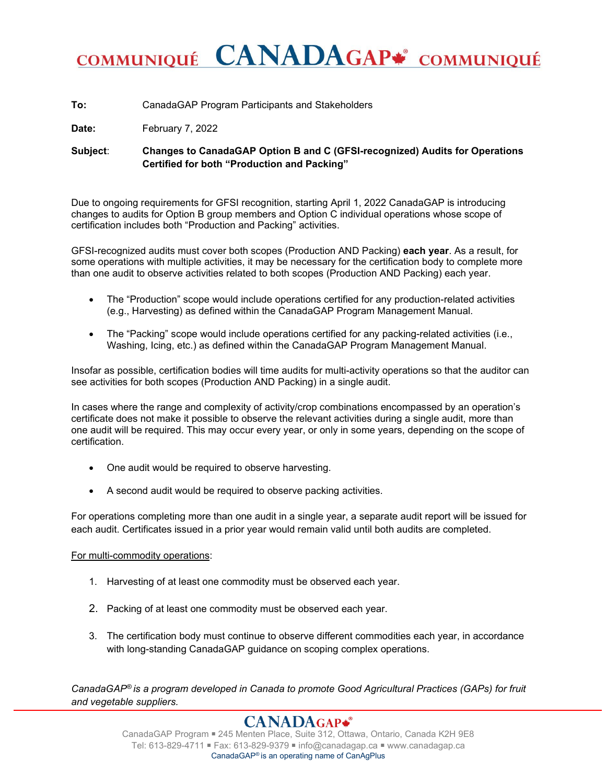## COMMUNIQUÉ CANADAGAP\* COMMUNIQUÉ

**To:** CanadaGAP Program Participants and Stakeholders

Date: February 7, 2022

**Subject**: **Changes to CanadaGAP Option B and C (GFSI-recognized) Audits for Operations Certified for both "Production and Packing"**

Due to ongoing requirements for GFSI recognition, starting April 1, 2022 CanadaGAP is introducing changes to audits for Option B group members and Option C individual operations whose scope of certification includes both "Production and Packing" activities.

GFSI-recognized audits must cover both scopes (Production AND Packing) **each year**. As a result, for some operations with multiple activities, it may be necessary for the certification body to complete more than one audit to observe activities related to both scopes (Production AND Packing) each year.

- The "Production" scope would include operations certified for any production-related activities (e.g., Harvesting) as defined within the CanadaGAP Program Management Manual.
- The "Packing" scope would include operations certified for any packing-related activities (i.e., Washing, Icing, etc.) as defined within the CanadaGAP Program Management Manual.

Insofar as possible, certification bodies will time audits for multi-activity operations so that the auditor can see activities for both scopes (Production AND Packing) in a single audit.

In cases where the range and complexity of activity/crop combinations encompassed by an operation's certificate does not make it possible to observe the relevant activities during a single audit, more than one audit will be required. This may occur every year, or only in some years, depending on the scope of certification.

- One audit would be required to observe harvesting.
- A second audit would be required to observe packing activities.

For operations completing more than one audit in a single year, a separate audit report will be issued for each audit. Certificates issued in a prior year would remain valid until both audits are completed.

## For multi-commodity operations:

- 1. Harvesting of at least one commodity must be observed each year.
- 2. Packing of at least one commodity must be observed each year.
- 3. The certification body must continue to observe different commodities each year, in accordance with long-standing CanadaGAP guidance on scoping complex operations.

*CanadaGAP® is a program developed in Canada to promote Good Agricultural Practices (GAPs) for fruit and vegetable suppliers.*